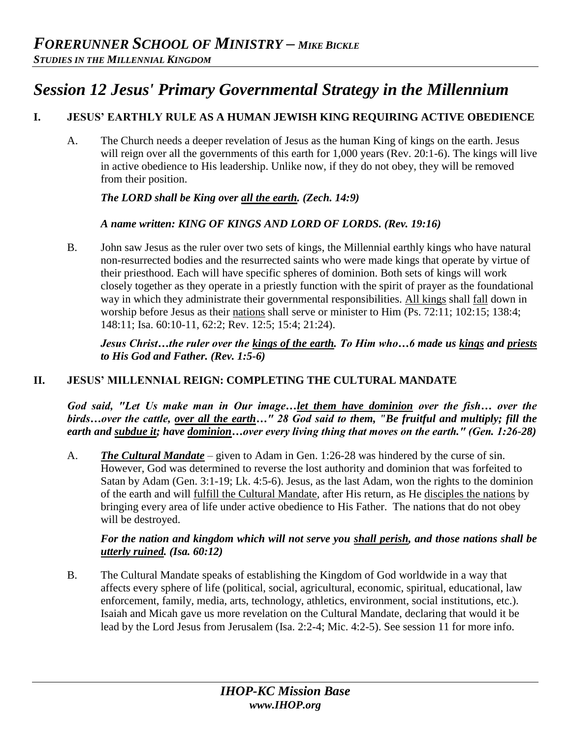# *Session 12 Jesus' Primary Governmental Strategy in the Millennium*

## **I. JESUS' EARTHLY RULE AS A HUMAN JEWISH KING REQUIRING ACTIVE OBEDIENCE**

A. The Church needs a deeper revelation of Jesus as the human King of kings on the earth. Jesus will reign over all the governments of this earth for 1,000 years (Rev. 20:1-6). The kings will live in active obedience to His leadership. Unlike now, if they do not obey, they will be removed from their position.

## *The LORD shall be King over all the earth. (Zech. 14:9)*

## *A name written: KING OF KINGS AND LORD OF LORDS. (Rev. 19:16)*

B. John saw Jesus as the ruler over two sets of kings, the Millennial earthly kings who have natural non-resurrected bodies and the resurrected saints who were made kings that operate by virtue of their priesthood. Each will have specific spheres of dominion. Both sets of kings will work closely together as they operate in a priestly function with the spirit of prayer as the foundational way in which they administrate their governmental responsibilities. All kings shall fall down in worship before Jesus as their nations shall serve or minister to Him (Ps. 72:11; 102:15; 138:4; 148:11; Isa. 60:10-11, 62:2; Rev. 12:5; 15:4; 21:24).

*Jesus Christ…the ruler over the kings of the earth. To Him who…6 made us kings and priests to His God and Father. (Rev. 1:5-6)* 

## **II. JESUS' MILLENNIAL REIGN: COMPLETING THE CULTURAL MANDATE**

*God said, "Let Us make man in Our image…let them have dominion over the fish… over the birds…over the cattle, over all the earth…" 28 God said to them, "Be fruitful and multiply; fill the earth and subdue it; have dominion…over every living thing that moves on the earth." (Gen. 1:26-28)* 

A. *The Cultural Mandate* – given to Adam in Gen. 1:26-28 was hindered by the curse of sin. However, God was determined to reverse the lost authority and dominion that was forfeited to Satan by Adam (Gen. 3:1-19; Lk. 4:5-6). Jesus, as the last Adam, won the rights to the dominion of the earth and will fulfill the Cultural Mandate, after His return, as He disciples the nations by bringing every area of life under active obedience to His Father. The nations that do not obey will be destroyed.

#### *For the nation and kingdom which will not serve you shall perish, and those nations shall be utterly ruined. (Isa. 60:12)*

B. The Cultural Mandate speaks of establishing the Kingdom of God worldwide in a way that affects every sphere of life (political, social, agricultural, economic, spiritual, educational, law enforcement, family, media, arts, technology, athletics, environment, social institutions, etc.). Isaiah and Micah gave us more revelation on the Cultural Mandate, declaring that would it be lead by the Lord Jesus from Jerusalem (Isa. 2:2-4; Mic. 4:2-5). See session 11 for more info.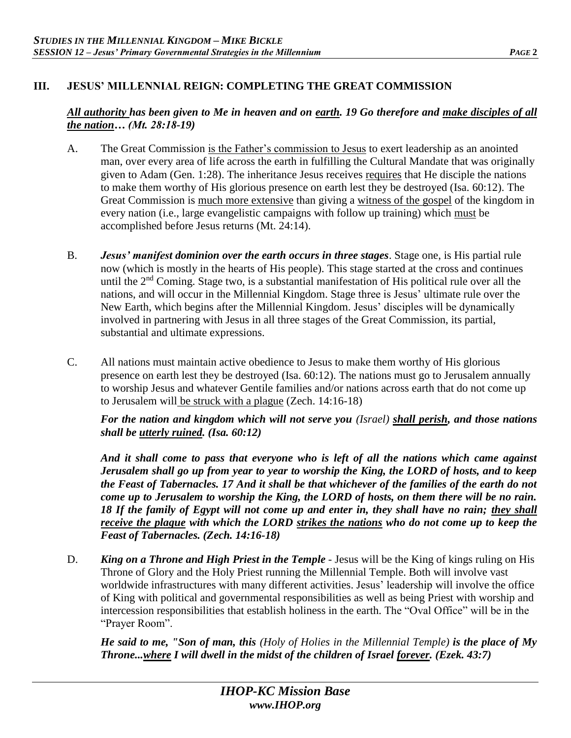## **III. JESUS' MILLENNIAL REIGN: COMPLETING THE GREAT COMMISSION**

#### *All authority has been given to Me in heaven and on earth. 19 Go therefore and make disciples of all the nation… (Mt. 28:18-19)*

- A. The Great Commission is the Father's commission to Jesus to exert leadership as an anointed man, over every area of life across the earth in fulfilling the Cultural Mandate that was originally given to Adam (Gen. 1:28). The inheritance Jesus receives requires that He disciple the nations to make them worthy of His glorious presence on earth lest they be destroyed (Isa. 60:12). The Great Commission is much more extensive than giving a witness of the gospel of the kingdom in every nation (i.e., large evangelistic campaigns with follow up training) which must be accomplished before Jesus returns (Mt. 24:14).
- B. *Jesus' manifest dominion over the earth occurs in three stages*. Stage one, is His partial rule now (which is mostly in the hearts of His people). This stage started at the cross and continues until the  $2<sup>nd</sup>$  Coming. Stage two, is a substantial manifestation of His political rule over all the nations, and will occur in the Millennial Kingdom. Stage three is Jesus' ultimate rule over the New Earth, which begins after the Millennial Kingdom. Jesus' disciples will be dynamically involved in partnering with Jesus in all three stages of the Great Commission, its partial, substantial and ultimate expressions.
- C. All nations must maintain active obedience to Jesus to make them worthy of His glorious presence on earth lest they be destroyed (Isa. 60:12). The nations must go to Jerusalem annually to worship Jesus and whatever Gentile families and/or nations across earth that do not come up to Jerusalem will be struck with a plague (Zech. 14:16-18)

*For the nation and kingdom which will not serve you (Israel) shall perish, and those nations shall be utterly ruined. (Isa. 60:12)* 

*And it shall come to pass that everyone who is left of all the nations which came against Jerusalem shall go up from year to year to worship the King, the LORD of hosts, and to keep the Feast of Tabernacles. 17 And it shall be that whichever of the families of the earth do not come up to Jerusalem to worship the King, the LORD of hosts, on them there will be no rain. 18 If the family of Egypt will not come up and enter in, they shall have no rain; they shall receive the plague with which the LORD strikes the nations who do not come up to keep the Feast of Tabernacles. (Zech. 14:16-18)* 

D. *King on a Throne and High Priest in the Temple* - Jesus will be the King of kings ruling on His Throne of Glory and the Holy Priest running the Millennial Temple. Both will involve vast worldwide infrastructures with many different activities. Jesus' leadership will involve the office of King with political and governmental responsibilities as well as being Priest with worship and intercession responsibilities that establish holiness in the earth. The "Oval Office" will be in the "Prayer Room".

*He said to me, "Son of man, this (Holy of Holies in the Millennial Temple) is the place of My Throne...where I will dwell in the midst of the children of Israel forever. (Ezek. 43:7)*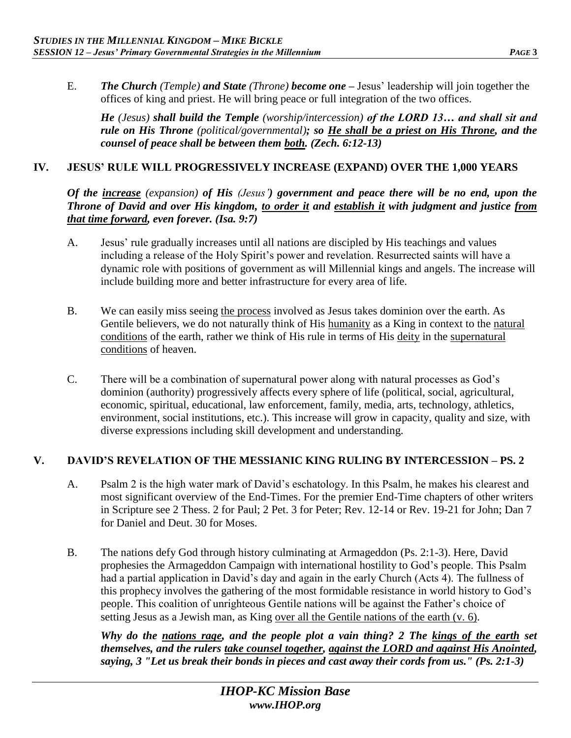E. *The Church (Temple) and State (Throne) become one –* Jesus' leadership will join together the offices of king and priest. He will bring peace or full integration of the two offices.

*He (Jesus) shall build the Temple (worship/intercession) of the LORD 13… and shall sit and rule on His Throne (political/governmental); so He shall be a priest on His Throne, and the counsel of peace shall be between them both. (Zech. 6:12-13)*

#### **IV. JESUS' RULE WILL PROGRESSIVELY INCREASE (EXPAND) OVER THE 1,000 YEARS**

*Of the increase (expansion) of His (Jesus') government and peace there will be no end, upon the Throne of David and over His kingdom, to order it and establish it with judgment and justice from that time forward, even forever. (Isa. 9:7)* 

- A. Jesus' rule gradually increases until all nations are discipled by His teachings and values including a release of the Holy Spirit's power and revelation. Resurrected saints will have a dynamic role with positions of government as will Millennial kings and angels. The increase will include building more and better infrastructure for every area of life.
- B. We can easily miss seeing the process involved as Jesus takes dominion over the earth. As Gentile believers, we do not naturally think of His humanity as a King in context to the natural conditions of the earth, rather we think of His rule in terms of His deity in the supernatural conditions of heaven.
- C. There will be a combination of supernatural power along with natural processes as God's dominion (authority) progressively affects every sphere of life (political, social, agricultural, economic, spiritual, educational, law enforcement, family, media, arts, technology, athletics, environment, social institutions, etc.). This increase will grow in capacity, quality and size, with diverse expressions including skill development and understanding.

#### **V. DAVID'S REVELATION OF THE MESSIANIC KING RULING BY INTERCESSION – PS. 2**

- A. Psalm 2 is the high water mark of David's eschatology. In this Psalm, he makes his clearest and most significant overview of the End-Times. For the premier End-Time chapters of other writers in Scripture see 2 Thess. 2 for Paul; 2 Pet. 3 for Peter; Rev. 12-14 or Rev. 19-21 for John; Dan 7 for Daniel and Deut. 30 for Moses.
- B. The nations defy God through history culminating at Armageddon (Ps. 2:1-3). Here, David prophesies the Armageddon Campaign with international hostility to God's people. This Psalm had a partial application in David's day and again in the early Church (Acts 4). The fullness of this prophecy involves the gathering of the most formidable resistance in world history to God's people. This coalition of unrighteous Gentile nations will be against the Father's choice of setting Jesus as a Jewish man, as King over all the Gentile nations of the earth (v. 6).

*Why do the nations rage, and the people plot a vain thing? 2 The kings of the earth set themselves, and the rulers take counsel together, against the LORD and against His Anointed, saying, 3 "Let us break their bonds in pieces and cast away their cords from us." (Ps. 2:1-3)*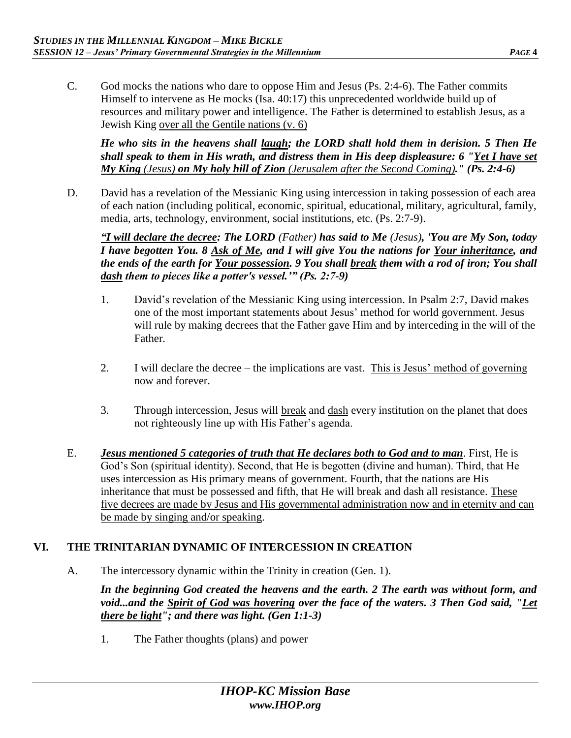- C. God mocks the nations who dare to oppose Him and Jesus (Ps. 2:4-6). The Father commits
	- Himself to intervene as He mocks (Isa. 40:17) this unprecedented worldwide build up of resources and military power and intelligence. The Father is determined to establish Jesus, as a Jewish King over all the Gentile nations (v. 6)

*He who sits in the heavens shall laugh; the LORD shall hold them in derision. 5 Then He shall speak to them in His wrath, and distress them in His deep displeasure: 6 "Yet I have set My King (Jesus) on My holy hill of Zion (Jerusalem after the Second Coming)." (Ps. 2:4-6)* 

D. David has a revelation of the Messianic King using intercession in taking possession of each area of each nation (including political, economic, spiritual, educational, military, agricultural, family, media, arts, technology, environment, social institutions, etc. (Ps. 2:7-9).

*"I will declare the decree: The LORD (Father) has said to Me (Jesus), 'You are My Son, today I have begotten You. 8 Ask of Me, and I will give You the nations for Your inheritance, and the ends of the earth for Your possession. 9 You shall break them with a rod of iron; You shall dash them to pieces like a potter's vessel.'" (Ps. 2:7-9)*

- 1. David's revelation of the Messianic King using intercession. In Psalm 2:7, David makes one of the most important statements about Jesus' method for world government. Jesus will rule by making decrees that the Father gave Him and by interceding in the will of the Father.
- 2. I will declare the decree the implications are vast. This is Jesus' method of governing now and forever.
- 3. Through intercession, Jesus will break and dash every institution on the planet that does not righteously line up with His Father's agenda.
- E. *Jesus mentioned 5 categories of truth that He declares both to God and to man*. First, He is God's Son (spiritual identity). Second, that He is begotten (divine and human). Third, that He uses intercession as His primary means of government. Fourth, that the nations are His inheritance that must be possessed and fifth, that He will break and dash all resistance. These five decrees are made by Jesus and His governmental administration now and in eternity and can be made by singing and/or speaking.

# **VI. THE TRINITARIAN DYNAMIC OF INTERCESSION IN CREATION**

A. The intercessory dynamic within the Trinity in creation (Gen. 1).

*In the beginning God created the heavens and the earth. 2 The earth was without form, and void...and the Spirit of God was hovering over the face of the waters. 3 Then God said, "Let there be light"; and there was light. (Gen 1:1-3)* 

1. The Father thoughts (plans) and power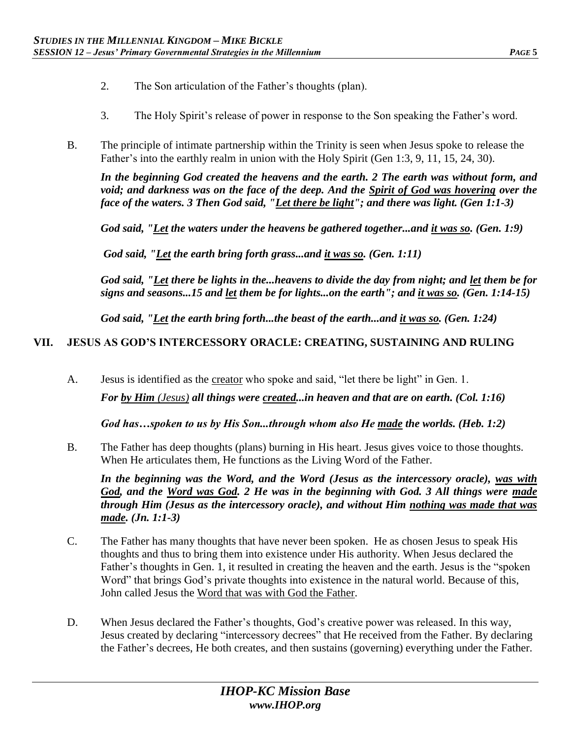- 2. The Son articulation of the Father's thoughts (plan).
- 3. The Holy Spirit's release of power in response to the Son speaking the Father's word.
- B. The principle of intimate partnership within the Trinity is seen when Jesus spoke to release the Father's into the earthly realm in union with the Holy Spirit (Gen 1:3, 9, 11, 15, 24, 30).

*In the beginning God created the heavens and the earth. 2 The earth was without form, and void; and darkness was on the face of the deep. And the Spirit of God was hovering over the face of the waters. 3 Then God said, "Let there be light"; and there was light. (Gen 1:1-3)* 

*God said, "Let the waters under the heavens be gathered together...and it was so. (Gen. 1:9)* 

*God said, "Let the earth bring forth grass...and it was so. (Gen. 1:11)* 

*God said, "Let there be lights in the...heavens to divide the day from night; and let them be for signs and seasons...15 and let them be for lights...on the earth"; and it was so. (Gen. 1:14-15)* 

*God said, "Let the earth bring forth...the beast of the earth...and it was so. (Gen. 1:24)* 

## **VII. JESUS AS GOD'S INTERCESSORY ORACLE: CREATING, SUSTAINING AND RULING**

A. Jesus is identified as the creator who spoke and said, "let there be light" in Gen. 1. *For by Him (Jesus) all things were created...in heaven and that are on earth. (Col. 1:16)* 

*God has…spoken to us by His Son...through whom also He made the worlds. (Heb. 1:2)*

B. The Father has deep thoughts (plans) burning in His heart. Jesus gives voice to those thoughts. When He articulates them, He functions as the Living Word of the Father.

*In the beginning was the Word, and the Word (Jesus as the intercessory oracle), was with God, and the Word was God. 2 He was in the beginning with God. 3 All things were made through Him (Jesus as the intercessory oracle), and without Him nothing was made that was made. (Jn. 1:1-3)* 

- C. The Father has many thoughts that have never been spoken. He as chosen Jesus to speak His thoughts and thus to bring them into existence under His authority. When Jesus declared the Father's thoughts in Gen. 1, it resulted in creating the heaven and the earth. Jesus is the "spoken Word" that brings God's private thoughts into existence in the natural world. Because of this, John called Jesus the Word that was with God the Father.
- D. When Jesus declared the Father's thoughts, God's creative power was released. In this way, Jesus created by declaring "intercessory decrees" that He received from the Father. By declaring the Father's decrees, He both creates, and then sustains (governing) everything under the Father.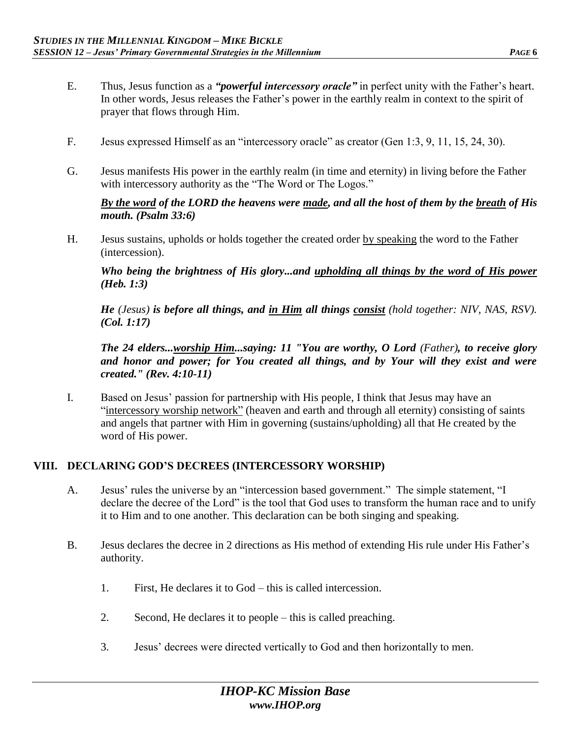- E. Thus, Jesus function as a *"powerful intercessory oracle"* in perfect unity with the Father's heart. In other words, Jesus releases the Father's power in the earthly realm in context to the spirit of prayer that flows through Him.
- F. Jesus expressed Himself as an "intercessory oracle" as creator (Gen 1:3, 9, 11, 15, 24, 30).
- G. Jesus manifests His power in the earthly realm (in time and eternity) in living before the Father with intercessory authority as the "The Word or The Logos."

*By the word of the LORD the heavens were made, and all the host of them by the breath of His mouth. (Psalm 33:6)* 

H. Jesus sustains, upholds or holds together the created order by speaking the word to the Father (intercession).

*Who being the brightness of His glory...and upholding all things by the word of His power (Heb. 1:3)* 

*He (Jesus) is before all things, and in Him all things consist (hold together: NIV, NAS, RSV). (Col. 1:17)*

*The 24 elders...worship Him...saying: 11 "You are worthy, O Lord (Father), to receive glory and honor and power; for You created all things, and by Your will they exist and were created." (Rev. 4:10-11)* 

I. Based on Jesus' passion for partnership with His people, I think that Jesus may have an "intercessory worship network" (heaven and earth and through all eternity) consisting of saints and angels that partner with Him in governing (sustains/upholding) all that He created by the word of His power.

## **VIII. DECLARING GOD'S DECREES (INTERCESSORY WORSHIP)**

- A. Jesus' rules the universe by an "intercession based government." The simple statement, "I declare the decree of the Lord" is the tool that God uses to transform the human race and to unify it to Him and to one another. This declaration can be both singing and speaking.
- B. Jesus declares the decree in 2 directions as His method of extending His rule under His Father's authority.
	- 1. First, He declares it to God this is called intercession.
	- 2. Second, He declares it to people this is called preaching.
	- 3. Jesus' decrees were directed vertically to God and then horizontally to men.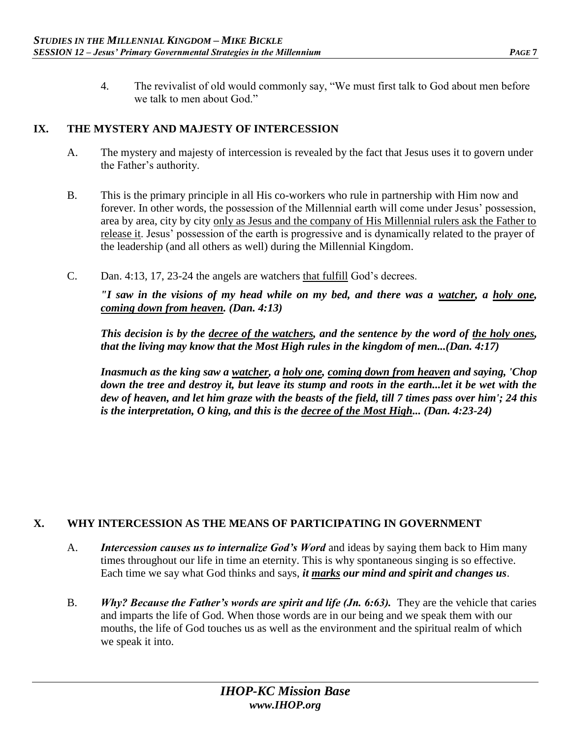4. The revivalist of old would commonly say, "We must first talk to God about men before we talk to men about God."

#### **IX. THE MYSTERY AND MAJESTY OF INTERCESSION**

- A. The mystery and majesty of intercession is revealed by the fact that Jesus uses it to govern under the Father's authority.
- B. This is the primary principle in all His co-workers who rule in partnership with Him now and forever. In other words, the possession of the Millennial earth will come under Jesus' possession, area by area, city by city only as Jesus and the company of His Millennial rulers ask the Father to release it. Jesus' possession of the earth is progressive and is dynamically related to the prayer of the leadership (and all others as well) during the Millennial Kingdom.
- C. Dan. 4:13, 17, 23-24 the angels are watchers that fulfill God's decrees.

*"I saw in the visions of my head while on my bed, and there was a watcher, a holy one, coming down from heaven. (Dan. 4:13)* 

*This decision is by the decree of the watchers, and the sentence by the word of the holy ones, that the living may know that the Most High rules in the kingdom of men...(Dan. 4:17)* 

*Inasmuch as the king saw a watcher, a holy one, coming down from heaven and saying, 'Chop*  down the tree and destroy it, but leave its stump and roots in the earth...let it be wet with the *dew of heaven, and let him graze with the beasts of the field, till 7 times pass over him'; 24 this is the interpretation, O king, and this is the decree of the Most High... (Dan. 4:23-24)* 

#### **X. WHY INTERCESSION AS THE MEANS OF PARTICIPATING IN GOVERNMENT**

- A. *Intercession causes us to internalize God's Word* and ideas by saying them back to Him many times throughout our life in time an eternity. This is why spontaneous singing is so effective. Each time we say what God thinks and says, *it marks our mind and spirit and changes us*.
- B. *Why? Because the Father's words are spirit and life (Jn. 6:63)*. They are the vehicle that caries and imparts the life of God. When those words are in our being and we speak them with our mouths, the life of God touches us as well as the environment and the spiritual realm of which we speak it into.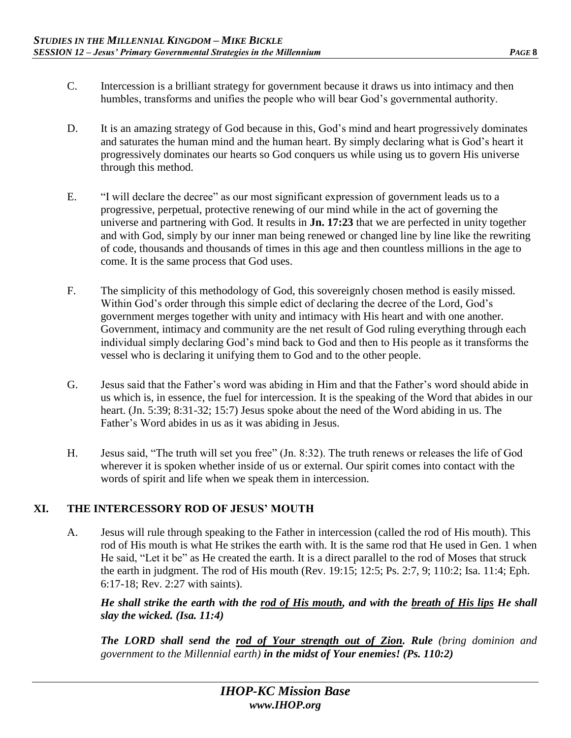- C. Intercession is a brilliant strategy for government because it draws us into intimacy and then humbles, transforms and unifies the people who will bear God's governmental authority.
- D. It is an amazing strategy of God because in this, God's mind and heart progressively dominates and saturates the human mind and the human heart. By simply declaring what is God's heart it progressively dominates our hearts so God conquers us while using us to govern His universe through this method.
- E. "I will declare the decree" as our most significant expression of government leads us to a progressive, perpetual, protective renewing of our mind while in the act of governing the universe and partnering with God. It results in **Jn. 17:23** that we are perfected in unity together and with God, simply by our inner man being renewed or changed line by line like the rewriting of code, thousands and thousands of times in this age and then countless millions in the age to come. It is the same process that God uses.
- F. The simplicity of this methodology of God, this sovereignly chosen method is easily missed. Within God's order through this simple edict of declaring the decree of the Lord, God's government merges together with unity and intimacy with His heart and with one another. Government, intimacy and community are the net result of God ruling everything through each individual simply declaring God's mind back to God and then to His people as it transforms the vessel who is declaring it unifying them to God and to the other people.
- G. Jesus said that the Father's word was abiding in Him and that the Father's word should abide in us which is, in essence, the fuel for intercession. It is the speaking of the Word that abides in our heart. (Jn. 5:39; 8:31-32; 15:7) Jesus spoke about the need of the Word abiding in us. The Father's Word abides in us as it was abiding in Jesus.
- H. Jesus said, "The truth will set you free" (Jn. 8:32). The truth renews or releases the life of God wherever it is spoken whether inside of us or external. Our spirit comes into contact with the words of spirit and life when we speak them in intercession.

## **XI. THE INTERCESSORY ROD OF JESUS' MOUTH**

A. Jesus will rule through speaking to the Father in intercession (called the rod of His mouth). This rod of His mouth is what He strikes the earth with. It is the same rod that He used in Gen. 1 when He said, "Let it be" as He created the earth. It is a direct parallel to the rod of Moses that struck the earth in judgment. The rod of His mouth (Rev. 19:15; 12:5; Ps. 2:7, 9; 110:2; Isa. 11:4; Eph. 6:17-18; Rev. 2:27 with saints).

*He shall strike the earth with the rod of His mouth, and with the breath of His lips He shall slay the wicked. (Isa. 11:4)* 

*The LORD shall send the rod of Your strength out of Zion. Rule (bring dominion and government to the Millennial earth) in the midst of Your enemies! (Ps. 110:2)*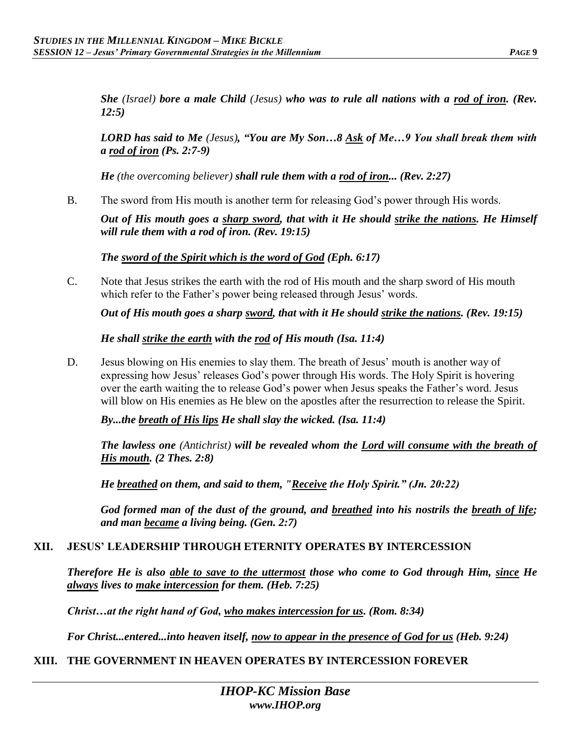*She (Israel) bore a male Child (Jesus) who was to rule all nations with a rod of iron. (Rev. 12:5)* 

*LORD has said to Me (Jesus), "You are My Son…8 Ask of Me…9 You shall break them with a rod of iron (Ps. 2:7-9)* 

*He (the overcoming believer) shall rule them with a rod of iron... (Rev. 2:27)* 

B. The sword from His mouth is another term for releasing God's power through His words.

*Out of His mouth goes a sharp sword, that with it He should strike the nations. He Himself will rule them with a rod of iron. (Rev. 19:15)* 

*The sword of the Spirit which is the word of God (Eph. 6:17)* 

C. Note that Jesus strikes the earth with the rod of His mouth and the sharp sword of His mouth which refer to the Father's power being released through Jesus' words.

*Out of His mouth goes a sharp sword, that with it He should strike the nations. (Rev. 19:15)* 

*He shall strike the earth with the rod of His mouth (Isa. 11:4)* 

D. Jesus blowing on His enemies to slay them. The breath of Jesus' mouth is another way of expressing how Jesus' releases God's power through His words. The Holy Spirit is hovering over the earth waiting the to release God's power when Jesus speaks the Father's word. Jesus will blow on His enemies as He blew on the apostles after the resurrection to release the Spirit.

*By...the breath of His lips He shall slay the wicked. (Isa. 11:4)* 

*The lawless one (Antichrist) will be revealed whom the Lord will consume with the breath of His mouth. (2 Thes. 2:8)* 

*He breathed on them, and said to them, "Receive the Holy Spirit." (Jn. 20:22)* 

*God formed man of the dust of the ground, and breathed into his nostrils the breath of life; and man became a living being. (Gen. 2:7)* 

#### **XII. JESUS' LEADERSHIP THROUGH ETERNITY OPERATES BY INTERCESSION**

*Therefore He is also able to save to the uttermost those who come to God through Him, since He always lives to make intercession for them. (Heb. 7:25)* 

*Christ…at the right hand of God, who makes intercession for us. (Rom. 8:34)*

*For Christ...entered...into heaven itself, now to appear in the presence of God for us (Heb. 9:24)* 

#### **XIII. THE GOVERNMENT IN HEAVEN OPERATES BY INTERCESSION FOREVER**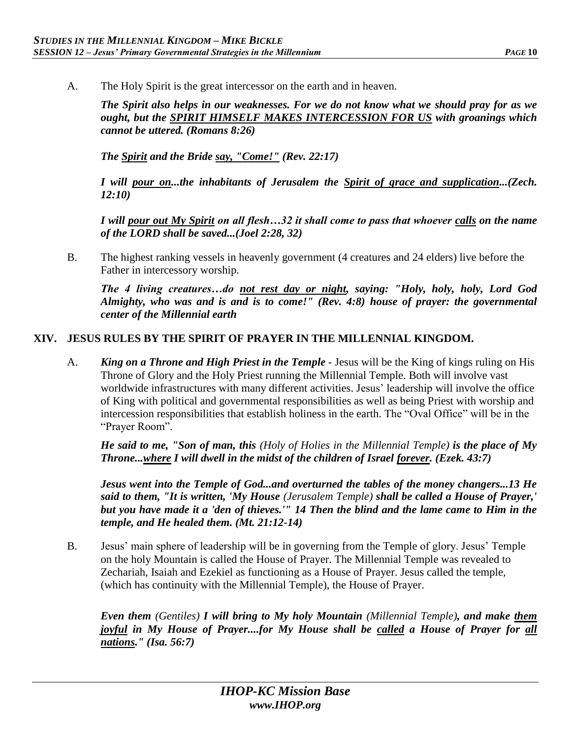A. The Holy Spirit is the great intercessor on the earth and in heaven.

*The Spirit also helps in our weaknesses. For we do not know what we should pray for as we ought, but the SPIRIT HIMSELF MAKES INTERCESSION FOR US with groanings which cannot be uttered. (Romans 8:26)*

*The Spirit and the Bride say, "Come!" (Rev. 22:17)*

*I will pour on...the inhabitants of Jerusalem the Spirit of grace and supplication...(Zech. 12:10)* 

*I will pour out My Spirit on all flesh…32 it shall come to pass that whoever calls on the name of the LORD shall be saved...(Joel 2:28, 32)* 

B. The highest ranking vessels in heavenly government (4 creatures and 24 elders) live before the Father in intercessory worship.

*The 4 living creatures…do not rest day or night, saying: "Holy, holy, holy, Lord God Almighty, who was and is and is to come!" (Rev. 4:8) house of prayer: the governmental center of the Millennial earth* 

#### **XIV. JESUS RULES BY THE SPIRIT OF PRAYER IN THE MILLENNIAL KINGDOM.**

A. *King on a Throne and High Priest in the Temple* - Jesus will be the King of kings ruling on His Throne of Glory and the Holy Priest running the Millennial Temple. Both will involve vast worldwide infrastructures with many different activities. Jesus' leadership will involve the office of King with political and governmental responsibilities as well as being Priest with worship and intercession responsibilities that establish holiness in the earth. The "Oval Office" will be in the "Prayer Room".

*He said to me, "Son of man, this (Holy of Holies in the Millennial Temple) is the place of My Throne...where I will dwell in the midst of the children of Israel forever. (Ezek. 43:7)* 

*Jesus went into the Temple of God...and overturned the tables of the money changers...13 He said to them, "It is written, 'My House (Jerusalem Temple) shall be called a House of Prayer,' but you have made it a 'den of thieves.'" 14 Then the blind and the lame came to Him in the temple, and He healed them. (Mt. 21:12-14)* 

B. Jesus' main sphere of leadership will be in governing from the Temple of glory. Jesus' Temple on the holy Mountain is called the House of Prayer. The Millennial Temple was revealed to Zechariah, Isaiah and Ezekiel as functioning as a House of Prayer. Jesus called the temple, (which has continuity with the Millennial Temple), the House of Prayer.

*Even them (Gentiles) I will bring to My holy Mountain (Millennial Temple), and make them joyful in My House of Prayer....for My House shall be called a House of Prayer for all nations." (Isa. 56:7)*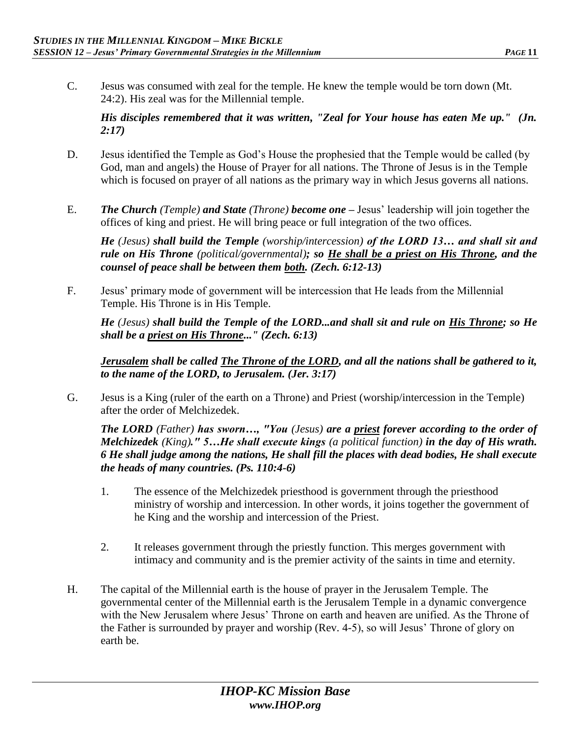C. Jesus was consumed with zeal for the temple. He knew the temple would be torn down (Mt. 24:2). His zeal was for the Millennial temple.

*His disciples remembered that it was written, "Zeal for Your house has eaten Me up." (Jn. 2:17)* 

- D. Jesus identified the Temple as God's House the prophesied that the Temple would be called (by God, man and angels) the House of Prayer for all nations. The Throne of Jesus is in the Temple which is focused on prayer of all nations as the primary way in which Jesus governs all nations.
- E. *The Church (Temple) and State (Throne) become one –* Jesus' leadership will join together the offices of king and priest. He will bring peace or full integration of the two offices.

*He (Jesus) shall build the Temple (worship/intercession) of the LORD 13… and shall sit and rule on His Throne (political/governmental); so He shall be a priest on His Throne, and the counsel of peace shall be between them both. (Zech. 6:12-13)*

F. Jesus' primary mode of government will be intercession that He leads from the Millennial Temple. His Throne is in His Temple.

*He (Jesus) shall build the Temple of the LORD...and shall sit and rule on His Throne; so He shall be a priest on His Throne..." (Zech. 6:13)* 

*Jerusalem shall be called The Throne of the LORD, and all the nations shall be gathered to it, to the name of the LORD, to Jerusalem. (Jer. 3:17)* 

G. Jesus is a King (ruler of the earth on a Throne) and Priest (worship/intercession in the Temple) after the order of Melchizedek.

*The LORD (Father) has sworn…, "You (Jesus) are a priest forever according to the order of Melchizedek (King)." 5…He shall execute kings (a political function) in the day of His wrath. 6 He shall judge among the nations, He shall fill the places with dead bodies, He shall execute the heads of many countries. (Ps. 110:4-6)* 

- 1. The essence of the Melchizedek priesthood is government through the priesthood ministry of worship and intercession. In other words, it joins together the government of he King and the worship and intercession of the Priest.
- 2. It releases government through the priestly function. This merges government with intimacy and community and is the premier activity of the saints in time and eternity.
- H. The capital of the Millennial earth is the house of prayer in the Jerusalem Temple. The governmental center of the Millennial earth is the Jerusalem Temple in a dynamic convergence with the New Jerusalem where Jesus' Throne on earth and heaven are unified. As the Throne of the Father is surrounded by prayer and worship (Rev. 4-5), so will Jesus' Throne of glory on earth be.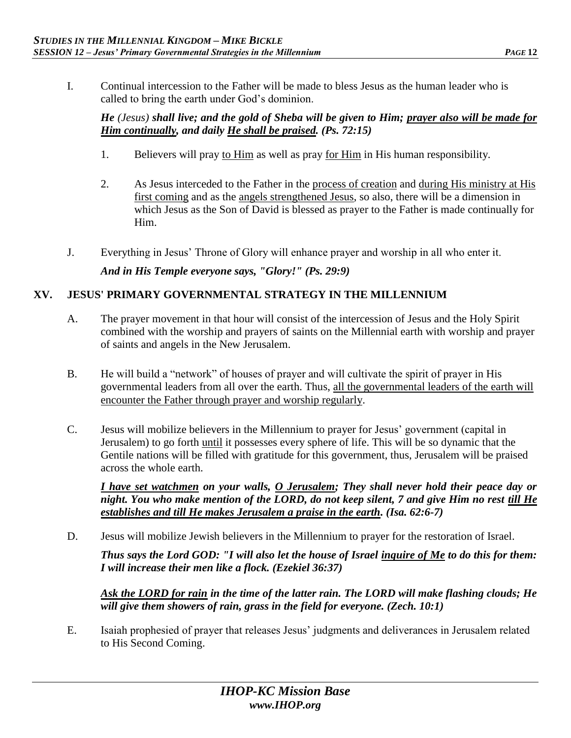I. Continual intercession to the Father will be made to bless Jesus as the human leader who is called to bring the earth under God's dominion.

## *He (Jesus) shall live; and the gold of Sheba will be given to Him; prayer also will be made for Him continually, and daily He shall be praised. (Ps. 72:15)*

- 1. Believers will pray to Him as well as pray for Him in His human responsibility.
- 2. As Jesus interceded to the Father in the process of creation and during His ministry at His first coming and as the angels strengthened Jesus, so also, there will be a dimension in which Jesus as the Son of David is blessed as prayer to the Father is made continually for Him.
- J. Everything in Jesus' Throne of Glory will enhance prayer and worship in all who enter it.

*And in His Temple everyone says, "Glory!" (Ps. 29:9)* 

# **XV. JESUS' PRIMARY GOVERNMENTAL STRATEGY IN THE MILLENNIUM**

- A. The prayer movement in that hour will consist of the intercession of Jesus and the Holy Spirit combined with the worship and prayers of saints on the Millennial earth with worship and prayer of saints and angels in the New Jerusalem.
- B. He will build a "network" of houses of prayer and will cultivate the spirit of prayer in His governmental leaders from all over the earth. Thus, all the governmental leaders of the earth will encounter the Father through prayer and worship regularly.
- C. Jesus will mobilize believers in the Millennium to prayer for Jesus' government (capital in Jerusalem) to go forth until it possesses every sphere of life. This will be so dynamic that the Gentile nations will be filled with gratitude for this government, thus, Jerusalem will be praised across the whole earth.

*I have set watchmen on your walls, O Jerusalem; They shall never hold their peace day or night. You who make mention of the LORD, do not keep silent, 7 and give Him no rest till He establishes and till He makes Jerusalem a praise in the earth. (Isa. 62:6-7)* 

D. Jesus will mobilize Jewish believers in the Millennium to prayer for the restoration of Israel.

*Thus says the Lord GOD: "I will also let the house of Israel inquire of Me to do this for them: I will increase their men like a flock. (Ezekiel 36:37)*

*Ask the LORD for rain in the time of the latter rain. The LORD will make flashing clouds; He will give them showers of rain, grass in the field for everyone. (Zech. 10:1)* 

E. Isaiah prophesied of prayer that releases Jesus' judgments and deliverances in Jerusalem related to His Second Coming.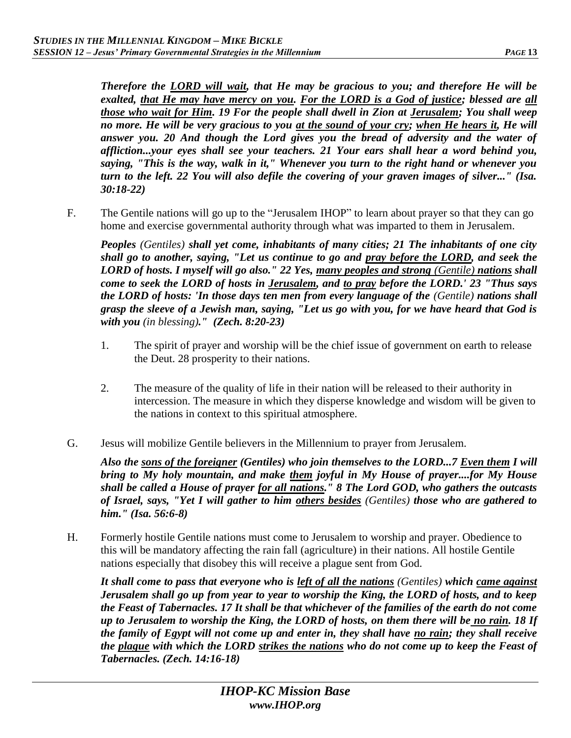*Therefore the LORD will wait, that He may be gracious to you; and therefore He will be exalted, that He may have mercy on you. For the LORD is a God of justice; blessed are all those who wait for Him. 19 For the people shall dwell in Zion at Jerusalem; You shall weep*  no more. He will be very gracious to you at the sound of your cry; when He hears it, He will *answer you. 20 And though the Lord gives you the bread of adversity and the water of affliction...your eyes shall see your teachers. 21 Your ears shall hear a word behind you, saying, "This is the way, walk in it," Whenever you turn to the right hand or whenever you turn to the left. 22 You will also defile the covering of your graven images of silver..." (Isa. 30:18-22)* 

F. The Gentile nations will go up to the "Jerusalem IHOP" to learn about prayer so that they can go home and exercise governmental authority through what was imparted to them in Jerusalem.

*Peoples (Gentiles) shall yet come, inhabitants of many cities; 21 The inhabitants of one city shall go to another, saying, "Let us continue to go and pray before the LORD, and seek the LORD of hosts. I myself will go also." 22 Yes, many peoples and strong (Gentile) nations shall come to seek the LORD of hosts in Jerusalem, and to pray before the LORD.' 23 "Thus says the LORD of hosts: 'In those days ten men from every language of the (Gentile) nations shall grasp the sleeve of a Jewish man, saying, "Let us go with you, for we have heard that God is with you (in blessing)." (Zech. 8:20-23)* 

- 1. The spirit of prayer and worship will be the chief issue of government on earth to release the Deut. 28 prosperity to their nations.
- 2. The measure of the quality of life in their nation will be released to their authority in intercession. The measure in which they disperse knowledge and wisdom will be given to the nations in context to this spiritual atmosphere.
- G. Jesus will mobilize Gentile believers in the Millennium to prayer from Jerusalem.

*Also the sons of the foreigner (Gentiles) who join themselves to the LORD...7 Even them I will bring to My holy mountain, and make them joyful in My House of prayer....for My House shall be called a House of prayer for all nations." 8 The Lord GOD, who gathers the outcasts of Israel, says, "Yet I will gather to him others besides (Gentiles) those who are gathered to him." (Isa. 56:6-8)* 

H. Formerly hostile Gentile nations must come to Jerusalem to worship and prayer. Obedience to this will be mandatory affecting the rain fall (agriculture) in their nations. All hostile Gentile nations especially that disobey this will receive a plague sent from God.

*It shall come to pass that everyone who is left of all the nations (Gentiles) which came against Jerusalem shall go up from year to year to worship the King, the LORD of hosts, and to keep the Feast of Tabernacles. 17 It shall be that whichever of the families of the earth do not come up to Jerusalem to worship the King, the LORD of hosts, on them there will be no rain. 18 If the family of Egypt will not come up and enter in, they shall have no rain; they shall receive the plague with which the LORD strikes the nations who do not come up to keep the Feast of Tabernacles. (Zech. 14:16-18)*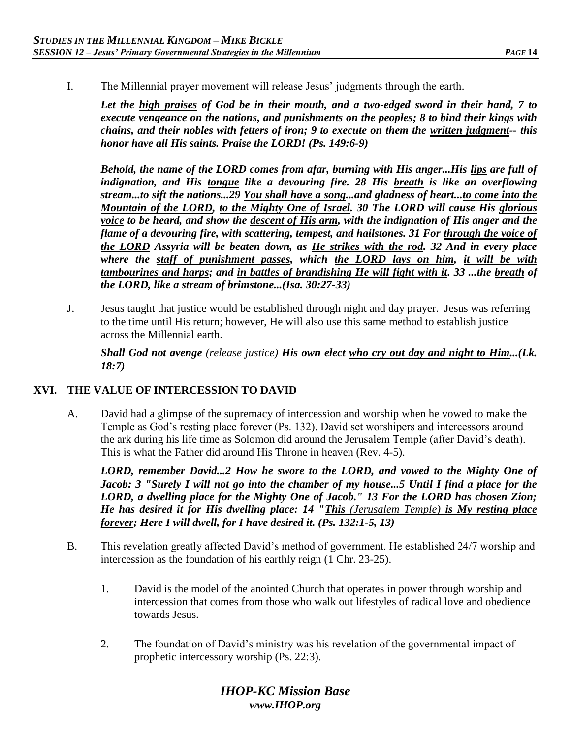I. The Millennial prayer movement will release Jesus' judgments through the earth.

*Let the high praises of God be in their mouth, and a two-edged sword in their hand, 7 to execute vengeance on the nations, and punishments on the peoples; 8 to bind their kings with chains, and their nobles with fetters of iron; 9 to execute on them the written judgment-- this honor have all His saints. Praise the LORD! (Ps. 149:6-9)* 

*Behold, the name of the LORD comes from afar, burning with His anger...His lips are full of indignation, and His tongue like a devouring fire. 28 His breath is like an overflowing stream...to sift the nations...29 You shall have a song...and gladness of heart...to come into the Mountain of the LORD, to the Mighty One of Israel. 30 The LORD will cause His glorious voice to be heard, and show the descent of His arm, with the indignation of His anger and the flame of a devouring fire, with scattering, tempest, and hailstones. 31 For through the voice of the LORD Assyria will be beaten down, as He strikes with the rod. 32 And in every place where the staff of punishment passes, which the LORD lays on him, it will be with tambourines and harps; and in battles of brandishing He will fight with it. 33 ...the breath of the LORD, like a stream of brimstone...(Isa. 30:27-33)* 

J. Jesus taught that justice would be established through night and day prayer. Jesus was referring to the time until His return; however, He will also use this same method to establish justice across the Millennial earth.

*Shall God not avenge (release justice) His own elect who cry out day and night to Him...(Lk. 18:7)* 

## **XVI. THE VALUE OF INTERCESSION TO DAVID**

A. David had a glimpse of the supremacy of intercession and worship when he vowed to make the Temple as God's resting place forever (Ps. 132). David set worshipers and intercessors around the ark during his life time as Solomon did around the Jerusalem Temple (after David's death). This is what the Father did around His Throne in heaven (Rev. 4-5).

LORD, remember David...2 How he swore to the LORD, and vowed to the Mighty One of *Jacob: 3 "Surely I will not go into the chamber of my house...5 Until I find a place for the LORD, a dwelling place for the Mighty One of Jacob." 13 For the LORD has chosen Zion; He has desired it for His dwelling place: 14 "This (Jerusalem Temple) is My resting place forever; Here I will dwell, for I have desired it. (Ps. 132:1-5, 13)*

- B. This revelation greatly affected David's method of government. He established 24/7 worship and intercession as the foundation of his earthly reign (1 Chr. 23-25).
	- 1. David is the model of the anointed Church that operates in power through worship and intercession that comes from those who walk out lifestyles of radical love and obedience towards Jesus.
	- 2. The foundation of David's ministry was his revelation of the governmental impact of prophetic intercessory worship (Ps. 22:3).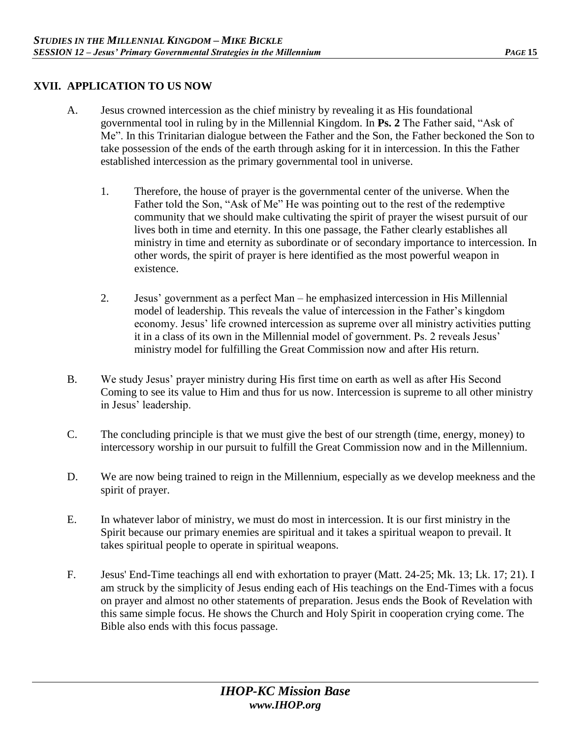### **XVII. APPLICATION TO US NOW**

- A. Jesus crowned intercession as the chief ministry by revealing it as His foundational governmental tool in ruling by in the Millennial Kingdom. In **Ps. 2** The Father said, "Ask of Me". In this Trinitarian dialogue between the Father and the Son, the Father beckoned the Son to take possession of the ends of the earth through asking for it in intercession. In this the Father established intercession as the primary governmental tool in universe.
	- 1. Therefore, the house of prayer is the governmental center of the universe. When the Father told the Son, "Ask of Me" He was pointing out to the rest of the redemptive community that we should make cultivating the spirit of prayer the wisest pursuit of our lives both in time and eternity. In this one passage, the Father clearly establishes all ministry in time and eternity as subordinate or of secondary importance to intercession. In other words, the spirit of prayer is here identified as the most powerful weapon in existence.
	- 2. Jesus' government as a perfect Man he emphasized intercession in His Millennial model of leadership. This reveals the value of intercession in the Father's kingdom economy. Jesus' life crowned intercession as supreme over all ministry activities putting it in a class of its own in the Millennial model of government. Ps. 2 reveals Jesus' ministry model for fulfilling the Great Commission now and after His return.
- B. We study Jesus' prayer ministry during His first time on earth as well as after His Second Coming to see its value to Him and thus for us now. Intercession is supreme to all other ministry in Jesus' leadership.
- C. The concluding principle is that we must give the best of our strength (time, energy, money) to intercessory worship in our pursuit to fulfill the Great Commission now and in the Millennium.
- D. We are now being trained to reign in the Millennium, especially as we develop meekness and the spirit of prayer.
- E. In whatever labor of ministry, we must do most in intercession. It is our first ministry in the Spirit because our primary enemies are spiritual and it takes a spiritual weapon to prevail. It takes spiritual people to operate in spiritual weapons.
- F. Jesus' End-Time teachings all end with exhortation to prayer (Matt. 24-25; Mk. 13; Lk. 17; 21). I am struck by the simplicity of Jesus ending each of His teachings on the End-Times with a focus on prayer and almost no other statements of preparation. Jesus ends the Book of Revelation with this same simple focus. He shows the Church and Holy Spirit in cooperation crying come. The Bible also ends with this focus passage.